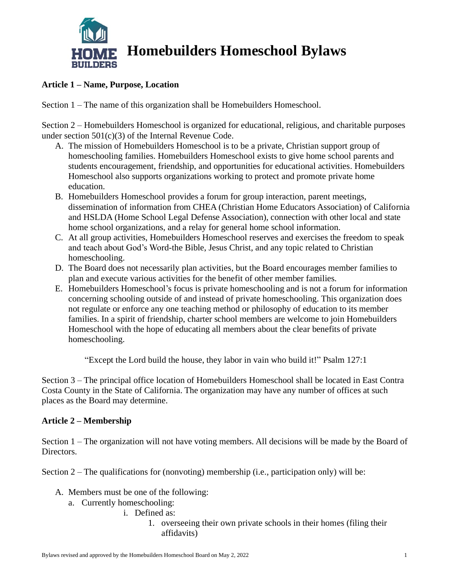

# **Homebuilders Homeschool Bylaws**

## **Article 1 – Name, Purpose, Location**

Section 1 – The name of this organization shall be Homebuilders Homeschool.

Section 2 – Homebuilders Homeschool is organized for educational, religious, and charitable purposes under section 501(c)(3) of the Internal Revenue Code.

- A. The mission of Homebuilders Homeschool is to be a private, Christian support group of homeschooling families. Homebuilders Homeschool exists to give home school parents and students encouragement, friendship, and opportunities for educational activities. Homebuilders Homeschool also supports organizations working to protect and promote private home education.
- B. Homebuilders Homeschool provides a forum for group interaction, parent meetings, dissemination of information from CHEA (Christian Home Educators Association) of California and HSLDA (Home School Legal Defense Association), connection with other local and state home school organizations, and a relay for general home school information.
- C. At all group activities, Homebuilders Homeschool reserves and exercises the freedom to speak and teach about God's Word-the Bible, Jesus Christ, and any topic related to Christian homeschooling.
- D. The Board does not necessarily plan activities, but the Board encourages member families to plan and execute various activities for the benefit of other member families.
- E. Homebuilders Homeschool's focus is private homeschooling and is not a forum for information concerning schooling outside of and instead of private homeschooling. This organization does not regulate or enforce any one teaching method or philosophy of education to its member families. In a spirit of friendship, charter school members are welcome to join Homebuilders Homeschool with the hope of educating all members about the clear benefits of private homeschooling.

"Except the Lord build the house, they labor in vain who build it!" Psalm 127:1

Section 3 – The principal office location of Homebuilders Homeschool shall be located in East Contra Costa County in the State of California. The organization may have any number of offices at such places as the Board may determine.

## **Article 2 – Membership**

Section 1 – The organization will not have voting members. All decisions will be made by the Board of Directors.

Section  $2$  – The qualifications for (nonvoting) membership (i.e., participation only) will be:

- A. Members must be one of the following:
	- a. Currently homeschooling:
		- i. Defined as:
			- 1. overseeing their own private schools in their homes (filing their affidavits)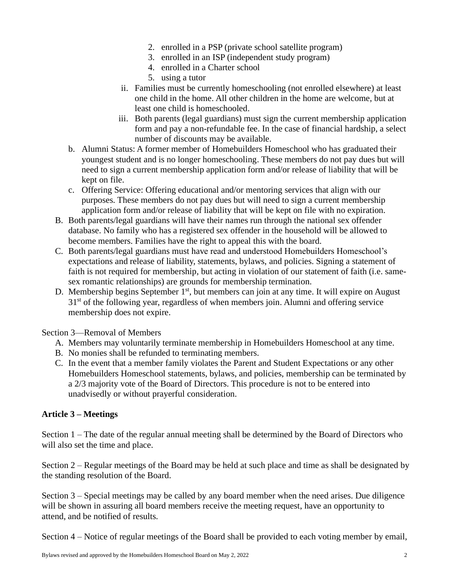- 2. enrolled in a PSP (private school satellite program)
- 3. enrolled in an ISP (independent study program)
- 4. enrolled in a Charter school
- 5. using a tutor
- ii. Families must be currently homeschooling (not enrolled elsewhere) at least one child in the home. All other children in the home are welcome, but at least one child is homeschooled.
- iii. Both parents (legal guardians) must sign the current membership application form and pay a non-refundable fee. In the case of financial hardship, a select number of discounts may be available.
- b. Alumni Status: A former member of Homebuilders Homeschool who has graduated their youngest student and is no longer homeschooling. These members do not pay dues but will need to sign a current membership application form and/or release of liability that will be kept on file.
- c. Offering Service: Offering educational and/or mentoring services that align with our purposes. These members do not pay dues but will need to sign a current membership application form and/or release of liability that will be kept on file with no expiration.
- B. Both parents/legal guardians will have their names run through the national sex offender database. No family who has a registered sex offender in the household will be allowed to become members. Families have the right to appeal this with the board.
- C. Both parents/legal guardians must have read and understood Homebuilders Homeschool's expectations and release of liability, statements, bylaws, and policies. Signing a statement of faith is not required for membership, but acting in violation of our statement of faith (i.e. samesex romantic relationships) are grounds for membership termination.
- D. Membership begins September 1<sup>st</sup>, but members can join at any time. It will expire on August  $31<sup>st</sup>$  of the following year, regardless of when members join. Alumni and offering service membership does not expire.

Section 3—Removal of Members

- A. Members may voluntarily terminate membership in Homebuilders Homeschool at any time.
- B. No monies shall be refunded to terminating members.
- C. In the event that a member family violates the Parent and Student Expectations or any other Homebuilders Homeschool statements, bylaws, and policies, membership can be terminated by a 2/3 majority vote of the Board of Directors. This procedure is not to be entered into unadvisedly or without prayerful consideration.

## **Article 3 – Meetings**

Section 1 – The date of the regular annual meeting shall be determined by the Board of Directors who will also set the time and place.

Section 2 – Regular meetings of the Board may be held at such place and time as shall be designated by the standing resolution of the Board.

Section 3 – Special meetings may be called by any board member when the need arises. Due diligence will be shown in assuring all board members receive the meeting request, have an opportunity to attend, and be notified of results.

Section 4 – Notice of regular meetings of the Board shall be provided to each voting member by email,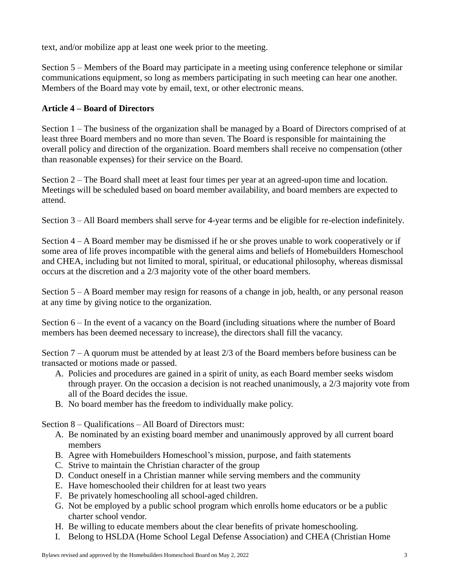text, and/or mobilize app at least one week prior to the meeting.

Section 5 – Members of the Board may participate in a meeting using conference telephone or similar communications equipment, so long as members participating in such meeting can hear one another. Members of the Board may vote by email, text, or other electronic means.

### **Article 4 – Board of Directors**

Section 1 – The business of the organization shall be managed by a Board of Directors comprised of at least three Board members and no more than seven. The Board is responsible for maintaining the overall policy and direction of the organization. Board members shall receive no compensation (other than reasonable expenses) for their service on the Board.

Section 2 – The Board shall meet at least four times per year at an agreed-upon time and location. Meetings will be scheduled based on board member availability, and board members are expected to attend.

Section 3 – All Board members shall serve for 4-year terms and be eligible for re-election indefinitely*.*

Section 4 – A Board member may be dismissed if he or she proves unable to work cooperatively or if some area of life proves incompatible with the general aims and beliefs of Homebuilders Homeschool and CHEA, including but not limited to moral, spiritual, or educational philosophy, whereas dismissal occurs at the discretion and a 2/3 majority vote of the other board members.

Section 5 – A Board member may resign for reasons of a change in job, health, or any personal reason at any time by giving notice to the organization.

Section 6 – In the event of a vacancy on the Board (including situations where the number of Board members has been deemed necessary to increase), the directors shall fill the vacancy.

Section 7 – A quorum must be attended by at least 2/3 of the Board members before business can be transacted or motions made or passed.

- A. Policies and procedures are gained in a spirit of unity, as each Board member seeks wisdom through prayer. On the occasion a decision is not reached unanimously, a 2/3 majority vote from all of the Board decides the issue.
- B. No board member has the freedom to individually make policy.

Section 8 – Qualifications – All Board of Directors must:

- A. Be nominated by an existing board member and unanimously approved by all current board members
- B. Agree with Homebuilders Homeschool's mission, purpose, and faith statements
- C. Strive to maintain the Christian character of the group
- D. Conduct oneself in a Christian manner while serving members and the community
- E. Have homeschooled their children for at least two years
- F. Be privately homeschooling all school-aged children.
- G. Not be employed by a public school program which enrolls home educators or be a public charter school vendor.
- H. Be willing to educate members about the clear benefits of private homeschooling.
- I. Belong to HSLDA (Home School Legal Defense Association) and CHEA (Christian Home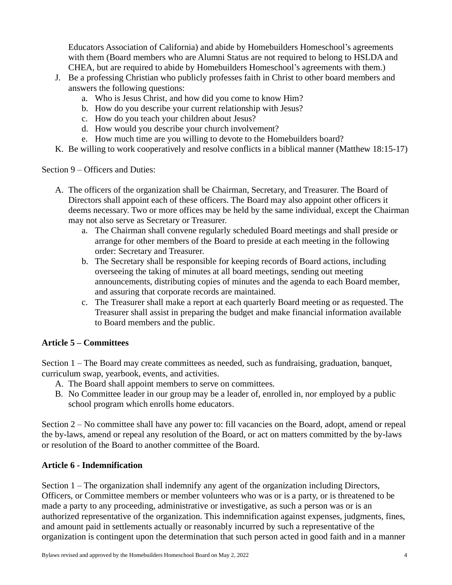Educators Association of California) and abide by Homebuilders Homeschool's agreements with them (Board members who are Alumni Status are not required to belong to HSLDA and CHEA, but are required to abide by Homebuilders Homeschool's agreements with them.)

- J. Be a professing Christian who publicly professes faith in Christ to other board members and answers the following questions:
	- a. Who is Jesus Christ, and how did you come to know Him?
	- b. How do you describe your current relationship with Jesus?
	- c. How do you teach your children about Jesus?
	- d. How would you describe your church involvement?
	- e. How much time are you willing to devote to the Homebuilders board?
- K. Be willing to work cooperatively and resolve conflicts in a biblical manner (Matthew 18:15-17)

Section 9 – Officers and Duties:

- A. The officers of the organization shall be Chairman, Secretary, and Treasurer. The Board of Directors shall appoint each of these officers. The Board may also appoint other officers it deems necessary. Two or more offices may be held by the same individual, except the Chairman may not also serve as Secretary or Treasurer.
	- a. The Chairman shall convene regularly scheduled Board meetings and shall preside or arrange for other members of the Board to preside at each meeting in the following order: Secretary and Treasurer.
	- b. The Secretary shall be responsible for keeping records of Board actions, including overseeing the taking of minutes at all board meetings, sending out meeting announcements, distributing copies of minutes and the agenda to each Board member, and assuring that corporate records are maintained.
	- c. The Treasurer shall make a report at each quarterly Board meeting or as requested. The Treasurer shall assist in preparing the budget and make financial information available to Board members and the public.

## **Article 5 – Committees**

Section 1 – The Board may create committees as needed, such as fundraising, graduation, banquet, curriculum swap, yearbook, events, and activities.

- A. The Board shall appoint members to serve on committees.
- B. No Committee leader in our group may be a leader of, enrolled in, nor employed by a public school program which enrolls home educators.

Section 2 – No committee shall have any power to: fill vacancies on the Board, adopt, amend or repeal the by-laws, amend or repeal any resolution of the Board, or act on matters committed by the by-laws or resolution of the Board to another committee of the Board.

#### **Article 6 - Indemnification**

Section 1 – The organization shall indemnify any agent of the organization including Directors, Officers, or Committee members or member volunteers who was or is a party, or is threatened to be made a party to any proceeding, administrative or investigative, as such a person was or is an authorized representative of the organization. This indemnification against expenses, judgments, fines, and amount paid in settlements actually or reasonably incurred by such a representative of the organization is contingent upon the determination that such person acted in good faith and in a manner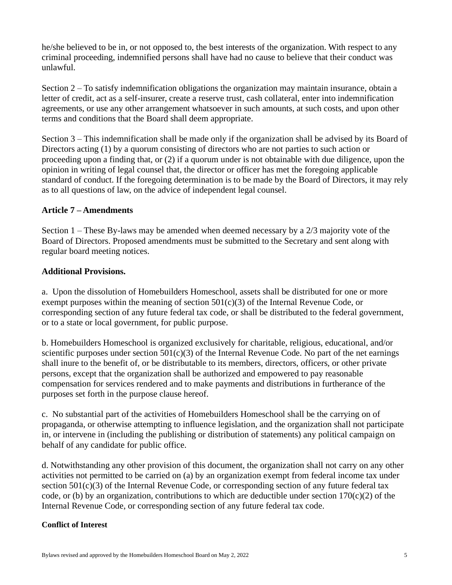he/she believed to be in, or not opposed to, the best interests of the organization. With respect to any criminal proceeding, indemnified persons shall have had no cause to believe that their conduct was unlawful.

Section 2 – To satisfy indemnification obligations the organization may maintain insurance, obtain a letter of credit, act as a self-insurer, create a reserve trust, cash collateral, enter into indemnification agreements, or use any other arrangement whatsoever in such amounts, at such costs, and upon other terms and conditions that the Board shall deem appropriate.

Section 3 – This indemnification shall be made only if the organization shall be advised by its Board of Directors acting (1) by a quorum consisting of directors who are not parties to such action or proceeding upon a finding that, or (2) if a quorum under is not obtainable with due diligence, upon the opinion in writing of legal counsel that, the director or officer has met the foregoing applicable standard of conduct. If the foregoing determination is to be made by the Board of Directors, it may rely as to all questions of law, on the advice of independent legal counsel.

#### **Article 7 – Amendments**

Section 1 – These By-laws may be amended when deemed necessary by a 2/3 majority vote of the Board of Directors. Proposed amendments must be submitted to the Secretary and sent along with regular board meeting notices.

#### **Additional Provisions.**

a. Upon the dissolution of Homebuilders Homeschool, assets shall be distributed for one or more exempt purposes within the meaning of section  $501(c)(3)$  of the Internal Revenue Code, or corresponding section of any future federal tax code, or shall be distributed to the federal government, or to a state or local government, for public purpose.

b. Homebuilders Homeschool is organized exclusively for charitable, religious, educational, and/or scientific purposes under section  $501(c)(3)$  of the Internal Revenue Code. No part of the net earnings shall inure to the benefit of, or be distributable to its members, directors, officers, or other private persons, except that the organization shall be authorized and empowered to pay reasonable compensation for services rendered and to make payments and distributions in furtherance of the purposes set forth in the purpose clause hereof.

c. No substantial part of the activities of Homebuilders Homeschool shall be the carrying on of propaganda, or otherwise attempting to influence legislation, and the organization shall not participate in, or intervene in (including the publishing or distribution of statements) any political campaign on behalf of any candidate for public office.

d. Notwithstanding any other provision of this document, the organization shall not carry on any other activities not permitted to be carried on (a) by an organization exempt from federal income tax under section 501(c)(3) of the Internal Revenue Code, or corresponding section of any future federal tax code, or (b) by an organization, contributions to which are deductible under section  $170(c)(2)$  of the Internal Revenue Code, or corresponding section of any future federal tax code.

#### **Conflict of Interest**